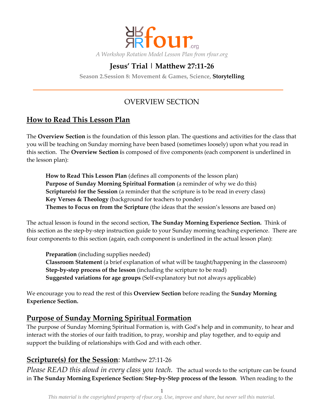

### **Jesus' Trial | Matthew 27:11-26**

**Season 2.Session 8: Movement & Games, Science, Storytelling**

### OVERVIEW SECTION

### **How to Read This Lesson Plan**

The **Overview Section** is the foundation of this lesson plan. The questions and activities for the class that you will be teaching on Sunday morning have been based (sometimes loosely) upon what you read in this section. The **Overview Section i**s composed of five components (each component is underlined in the lesson plan):

**How to Read This Lesson Plan** (defines all components of the lesson plan) **Purpose of Sunday Morning Spiritual Formation** (a reminder of why we do this) **Scripture(s) for the Session** (a reminder that the scripture is to be read in every class) **Key Verses & Theology** (background for teachers to ponder) **Themes to Focus on from the Scripture** (the ideas that the session's lessons are based on)

The actual lesson is found in the second section, **The Sunday Morning Experience Section.** Think of this section as the step-by-step instruction guide to your Sunday morning teaching experience. There are four components to this section (again, each component is underlined in the actual lesson plan):

**Preparation** (including supplies needed) **Classroom Statement** (a brief explanation of what will be taught/happening in the classroom) **Step-by-step process of the lesson** (including the scripture to be read) **Suggested variations for age groups** (Self-explanatory but not always applicable)

We encourage you to read the rest of this **Overview Section** before reading the **Sunday Morning Experience Section.**

### **Purpose of Sunday Morning Spiritual Formation**

The purpose of Sunday Morning Spiritual Formation is, with God's help and in community, to hear and interact with the stories of our faith tradition, to pray, worship and play together, and to equip and support the building of relationships with God and with each other.

### **Scripture(s) for the Session**: Matthew 27:11-26

*Please READ this aloud in every class you teach.* The actual words to the scripture can be found in **The Sunday Morning Experience Section: Step-by-Step process of the lesson**. When reading to the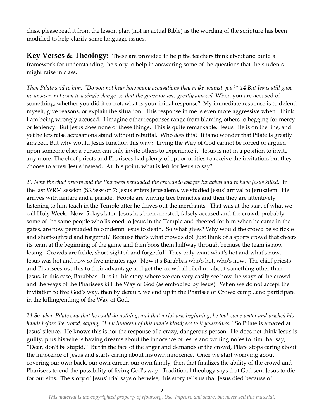class, please read it from the lesson plan (not an actual Bible) as the wording of the scripture has been modified to help clarify some language issues.

**Key Verses & Theology:** These are provided to help the teachers think about and build a framework for understanding the story to help in answering some of the questions that the students might raise in class.

*Then Pilate said to him, "Do you not hear how many accusations they make against you?" 14 But Jesus still gave no answer, not even to a single charge, so that the governor was greatly amazed.* When you are accused of something, whether you did it or not, what is your initial response? My immediate response is to defend myself, give reasons, or explain the situation. This response in me is even more aggressive when I think I am being wrongly accused. I imagine other responses range from blaming others to begging for mercy or leniency. But Jesus does none of these things. This is quite remarkable. Jesus' life is on the line, and yet he lets false accusations stand without rebuttal. Who *does* this? It is no wonder that Pilate is greatly amazed. But why would Jesus function this way? Living the Way of God cannot be forced or argued upon someone else; a person can only invite others to experience it. Jesus is not in a position to invite any more. The chief priests and Pharisees had plenty of opportunities to receive the invitation, but they choose to arrest Jesus instead. At this point, what is left for Jesus to say?

*20 Now the chief priests and the Pharisees persuaded the crowds to ask for Barabbas and to have Jesus killed.* In the last WRM session (S3.Session 7: Jesus enters Jerusalem), we studied Jesus' arrival to Jerusalem. He arrives with fanfare and a parade. People are waving tree branches and then they are attentively listening to him teach in the Temple after he drives out the merchants. That was at the start of what we call Holy Week. Now, 5 days later, Jesus has been arrested, falsely accused and the crowd, probably some of the same people who listened to Jesus in the Temple and cheered for him when he came in the gates, are now persuaded to condemn Jesus to death. So what gives? Why would the crowd be so fickle and short-sighted and forgetful? Because that's what crowds do! Just think of a sports crowd that cheers its team at the beginning of the game and then boos them halfway through because the team is now losing. Crowds are fickle, short-sighted and forgetful! They only want what's hot and what's now. Jesus was hot and now *so* five minutes ago. Now it's Barabbas who's hot, who's now. The chief priests and Pharisees use this to their advantage and get the crowd all riled up about something other than Jesus, in this case, Barabbas. It is in this story where we can very easily see how the ways of the crowd and the ways of the Pharisees kill the Way of God (as embodied by Jesus). When we do not accept the invitation to live God's way, then by default, we end up in the Pharisee or Crowd camp...and participate in the killing/ending of the Way of God.

*24 So when Pilate saw that he could do nothing, and that a riot was beginning, he took some water and washed his hands before the crowd, saying, "I am innocent of this man's blood; see to it yourselves."* So Pilate is amazed at Jesus' silence. He knows this is not the response of a crazy, dangerous person. He does not think Jesus is guilty, plus his wife is having dreams about the innocence of Jesus and writing notes to him that say, "Dear, don't be stupid." But in the face of the anger and demands of the crowd, Pilate stops caring about the innocence of Jesus and starts caring about his own innocence. Once we start worrying about covering our own back, our own career, our own family, then that finalizes the ability of the crowd and Pharisees to end the possibility of living God's way. Traditional theology says that God sent Jesus to die for our sins. The story of Jesus' trial says otherwise; this story tells us that Jesus died because of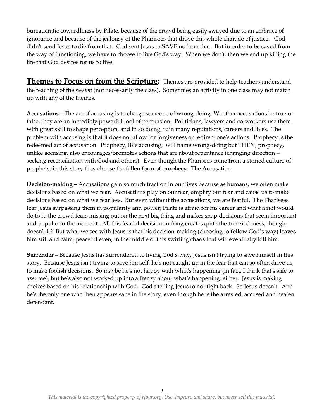bureaucratic cowardliness by Pilate, because of the crowd being easily swayed due to an embrace of ignorance and because of the jealousy of the Pharisees that drove this whole charade of justice. God didn't send Jesus to die from that. God sent Jesus to SAVE us from that. But in order to be saved from the way of functioning, we have to choose to live God's way. When we don't, then we end up killing the life that God desires for us to live.

**Themes to Focus on from the Scripture:** Themes are provided to help teachers understand the teaching of the *session* (not necessarily the class). Sometimes an activity in one class may not match up with any of the themes.

**Accusations –** The act of accusing is to charge someone of wrong-doing. Whether accusations be true or false, they are an incredibly powerful tool of persuasion. Politicians, lawyers and co-workers use them with great skill to shape perception, and in so doing, ruin many reputations, careers and lives. The problem with accusing is that it does not allow for forgiveness or redirect one's actions. Prophecy is the redeemed act of accusation. Prophecy, like accusing, will name wrong-doing but THEN, prophecy, unlike accusing, also encourages/promotes actions that are about repentance (changing direction – seeking reconciliation with God and others). Even though the Pharisees come from a storied culture of prophets, in this story they choose the fallen form of prophecy: The Accusation.

**Decision-making –** Accusations gain so much traction in our lives because as humans, we often make decisions based on what we fear. Accusations play on our fear, amplify our fear and cause us to make decisions based on what we fear less. But even without the accusations, we are fearful. The Pharisees fear Jesus surpassing them in popularity and power; Pilate is afraid for his career and what a riot would do to it; the crowd fears missing out on the next big thing and makes snap-decisions that seem important and popular in the moment. All this fearful decision-making creates quite the frenzied mess, though, doesn't it? But what we see with Jesus is that his decision-making (choosing to follow God's way) leaves him still and calm, peaceful even, in the middle of this swirling chaos that will eventually kill him.

**Surrender –** Because Jesus has surrendered to living God's way, Jesus isn't trying to save himself in this story. Because Jesus isn't trying to save himself, he's not caught up in the fear that can so often drive us to make foolish decisions. So maybe he's not happy with what's happening (in fact, I think that's safe to assume), but he's also not worked up into a frenzy about what's happening, either. Jesus is making choices based on his relationship with God. God's telling Jesus to not fight back. So Jesus doesn't. And he's the only one who then appears sane in the story, even though he is the arrested, accused and beaten defendant.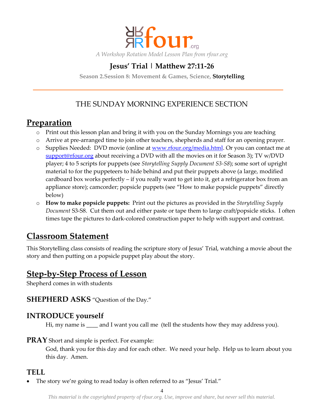

### **Jesus' Trial | Matthew 27:11-26**

**Season 2.Session 8: Movement & Games, Science, Storytelling**

## THE SUNDAY MORNING EXPERIENCE SECTION

# **Preparation**

- o Print out this lesson plan and bring it with you on the Sunday Mornings you are teaching
- o Arrive at pre-arranged time to join other teachers, shepherds and staff for an opening prayer.
- o Supplies Needed: DVD movie (online at [www.rfour.org/media.html.](http://www.rfour.org/media.html) Or you can contact me at [support@rfour.org](mailto:contact@rfour.org) about receiving a DVD with all the movies on it for Season 3); TV w/DVD player; 4 to 5 scripts for puppets (see *Storytelling Supply Document S3-S8*); some sort of upright material to for the puppeteers to hide behind and put their puppets above (a large, modified cardboard box works perfectly – if you really want to get into it, get a refrigerator box from an appliance store); camcorder; popsicle puppets (see "How to make popsicle puppets" directly below)
- o **How to make popsicle puppets:** Print out the pictures as provided in the *Storytelling Supply Document* S3-S8. Cut them out and either paste or tape them to large craft/popsicle sticks. I often times tape the pictures to dark-colored construction paper to help with support and contrast.

# **Classroom Statement**

This Storytelling class consists of reading the scripture story of Jesus' Trial, watching a movie about the story and then putting on a popsicle puppet play about the story.

## **Step-by-Step Process of Lesson**

Shepherd comes in with students

**SHEPHERD ASKS** "Question of the Day."

### **INTRODUCE yourself**

Hi, my name is and I want you call me (tell the students how they may address you).

**PRAY** Short and simple is perfect. For example:

God, thank you for this day and for each other. We need your help. Help us to learn about you this day. Amen.

### **TELL**

The story we're going to read today is often referred to as "Jesus' Trial."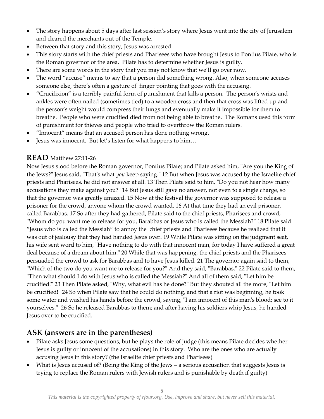- The story happens about 5 days after last session's story where Jesus went into the city of Jerusalem and cleared the merchants out of the Temple.
- Between that story and this story, Jesus was arrested.
- This story starts with the chief priests and Pharisees who have brought Jesus to Pontius Pilate, who is the Roman governor of the area. Pilate has to determine whether Jesus is guilty.
- There are some words in the story that you may not know that we'll go over now.
- The word "accuse" means to say that a person did something wrong. Also, when someone accuses someone else, there's often a gesture of finger pointing that goes with the accusing.
- "Crucifixion" is a terribly painful form of punishment that kills a person. The person's wrists and ankles were often nailed (sometimes tied) to a wooden cross and then that cross was lifted up and the person's weight would compress their lungs and eventually make it impossible for them to breathe. People who were crucified died from not being able to breathe. The Romans used this form of punishment for thieves and people who tried to overthrow the Roman rulers.
- "Innocent" means that an accused person has done nothing wrong.
- Jesus was innocent. But let's listen for what happens to him…

### **READ** Matthew 27:11-26

Now Jesus stood before the Roman governor, Pontius Pilate; and Pilate asked him, "Are you the King of the Jews?" Jesus said, "That's what *you* keep saying." 12 But when Jesus was accused by the Israelite chief priests and Pharisees, he did not answer at all. 13 Then Pilate said to him, "Do you not hear how many accusations they make against you?" 14 But Jesus still gave no answer, not even to a single charge, so that the governor was greatly amazed. 15 Now at the festival the governor was supposed to release a prisoner for the crowd, anyone whom the crowd wanted. 16 At that time they had an evil prisoner, called Barabbas. 17 So after they had gathered, Pilate said to the chief priests, Pharisees and crowd, "Whom do you want me to release for you, Barabbas or Jesus who is called the Messiah?" 18 Pilate said "Jesus who is called the Messiah" to annoy the chief priests and Pharisees because he realized that it was out of jealousy that they had handed Jesus over. 19 While Pilate was sitting on the judgment seat, his wife sent word to him, "Have nothing to do with that innocent man, for today I have suffered a great deal because of a dream about him." 20 While that was happening, the chief priests and the Pharisees persuaded the crowd to ask for Barabbas and to have Jesus killed. 21 The governor again said to them, "Which of the two do you want me to release for you?" And they said, "Barabbas." 22 Pilate said to them, "Then what should I do with Jesus who is called the Messiah?" And all of them said, "Let him be crucified!" 23 Then Pilate asked, "Why, what evil has he done?" But they shouted all the more, "Let him be crucified!" 24 So when Pilate saw that he could do nothing, and that a riot was beginning, he took some water and washed his hands before the crowd, saying, "I am innocent of this man's blood; see to it yourselves." 26 So he released Barabbas to them; and after having his soldiers whip Jesus, he handed Jesus over to be crucified.

### **ASK (answers are in the parentheses)**

- Pilate asks Jesus some questions, but he plays the role of judge (this means Pilate decides whether Jesus is guilty or innocent of the accusations) in this story. Who are the ones who are actually accusing Jesus in this story? (the Israelite chief priests and Pharisees)
- What is Jesus accused of? (Being the King of the Jews a serious accusation that suggests Jesus is trying to replace the Roman rulers with Jewish rulers and is punishable by death if guilty)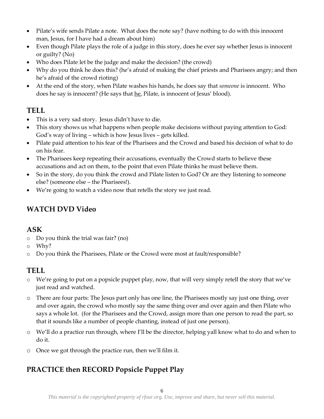- Pilate's wife sends Pilate a note. What does the note say? (have nothing to do with this innocent man, Jesus, for I have had a dream about him)
- Even though Pilate plays the role of a judge in this story, does he ever say whether Jesus is innocent or guilty? (No)
- Who does Pilate let be the judge and make the decision? (the crowd)
- Why do you think he does this? (he's afraid of making the chief priests and Pharisees angry; and then he's afraid of the crowd rioting)
- At the end of the story, when Pilate washes his hands, he does say that *someone* is innocent. Who does he say is innocent? (He says that he, Pilate, is innocent of Jesus' blood).

### **TELL**

- This is a very sad story. Jesus didn't have to die.
- This story shows us what happens when people make decisions without paying attention to God: God's way of living – which is how Jesus lives – gets killed.
- Pilate paid attention to his fear of the Pharisees and the Crowd and based his decision of what to do on his fear.
- The Pharisees keep repeating their accusations, eventually the Crowd starts to believe these accusations and act on them, to the point that even Pilate thinks he must believe them.
- So in the story, do you think the crowd and Pilate listen to God? Or are they listening to someone else? (someone else – the Pharisees!).
- We're going to watch a video now that retells the story we just read.

# **WATCH DVD Video**

### **ASK**

- o Do you think the trial was fair? (no)
- o Why?
- o Do you think the Pharisees, Pilate or the Crowd were most at fault/responsible?

## **TELL**

- $\circ$  We're going to put on a popsicle puppet play, now, that will very simply retell the story that we've just read and watched.
- o There are four parts: The Jesus part only has one line, the Pharisees mostly say just one thing, over and over again, the crowd who mostly say the same thing over and over again and then Pilate who says a whole lot. (for the Pharisees and the Crowd, assign more than one person to read the part, so that it sounds like a number of people chanting, instead of just one person).
- o We'll do a practice run through, where I'll be the director, helping yall know what to do and when to do it.
- o Once we got through the practice run, then we'll film it.

## **PRACTICE then RECORD Popsicle Puppet Play**